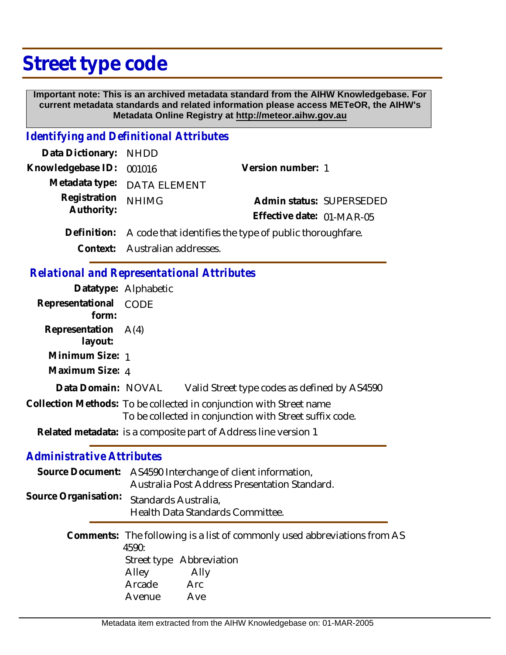## **Street type code**

 **Important note: This is an archived metadata standard from the AIHW Knowledgebase. For current metadata standards and related information please access METeOR, the AIHW's Metadata Online Registry at http://meteor.aihw.gov.au**

## *Identifying and Definitional Attributes*

| Data Dictionary: NHDD    |                                                                     |                           |                          |
|--------------------------|---------------------------------------------------------------------|---------------------------|--------------------------|
| Knowledgebase ID: 001016 |                                                                     | Version number: 1         |                          |
|                          | Metadata type: DATA ELEMENT                                         |                           |                          |
| Registration             | <b>NHIMG</b>                                                        |                           | Admin status: SUPERSEDED |
| Authority:               |                                                                     | Effective date: 01-MAR-05 |                          |
|                          | Definition: A code that identifies the type of public thoroughfare. |                           |                          |
|                          | Context: Australian addresses.                                      |                           |                          |

*Relational and Representational Attributes*

|                                  | Datatype: Alphabetic                                                                                                           |
|----------------------------------|--------------------------------------------------------------------------------------------------------------------------------|
| Representational<br>form:        | CODE                                                                                                                           |
| Representation<br>layout:        | A(4)                                                                                                                           |
| Minimum Size: 1                  |                                                                                                                                |
| Maximum Size: 4                  |                                                                                                                                |
| Data Domain: NOVAL               | Valid Street type codes as defined by AS4590                                                                                   |
|                                  | Collection Methods: To be collected in conjunction with Street name<br>To be collected in conjunction with Street suffix code. |
|                                  | Related metadata: is a composite part of Address line version 1                                                                |
| <b>Administrative Attributes</b> |                                                                                                                                |
|                                  | Source Document: AS4590 Interchange of client information,<br>Australia Post Address Presentation Standard.                    |
| Source Organisation:             | Standards Australia,<br>Health Data Standards Committee.                                                                       |
|                                  | Comments: The following is a list of commonly used abbreviations from AS<br>4590:<br>Street type Abbreviation<br>Alley<br>Ally |

 Arcade Arc Avenue Ave